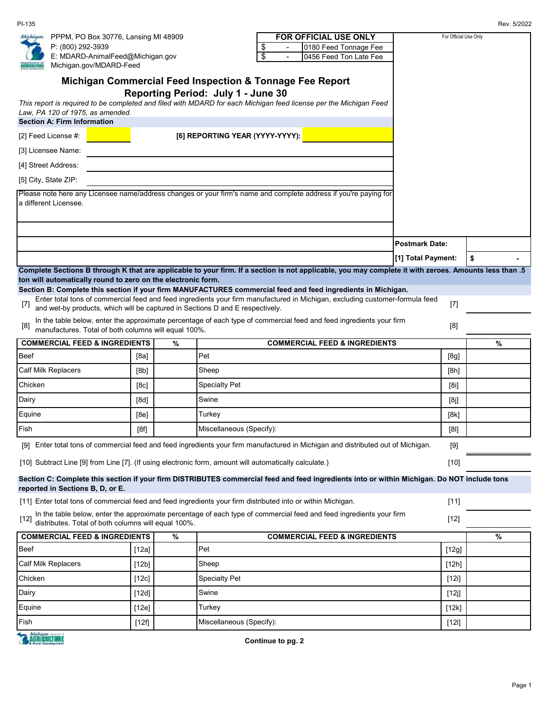PI-135 Rev. 5/2022

| E: MDARD-AnimalFeed@Michigan.gov<br>$\overline{\boldsymbol{\mathsf{s}}}$<br>0456 Feed Ton Late Fee<br>Michigan.gov/MDARD-Feed<br>Michigan Commercial Feed Inspection & Tonnage Fee Report<br>Reporting Period: July 1 - June 30<br>This report is required to be completed and filed with MDARD for each Michigan feed license per the Michigan Feed<br>Law, PA 120 of 1975, as amended.<br>[6] REPORTING YEAR (YYYY-YYYY):<br>Please note here any Licensee name/address changes or your firm's name and complete address if you're paying for<br><b>Postmark Date:</b><br>[1] Total Payment:<br>\$<br>Complete Sections B through K that are applicable to your firm. If a section is not applicable, you may complete it with zeroes. Amounts less than .5<br>Enter total tons of commercial feed and feed ingredients your firm manufactured in Michigan, excluding customer-formula feed<br>$[7]$<br>$[7]$<br>and wet-by products, which will be captured in Sections D and E respectively.<br>In the table below, enter the approximate percentage of each type of commercial feed and feed ingredients your firm<br>[8]<br>[8]<br>manufactures. Total of both columns will equal 100%.<br><b>COMMERCIAL FEED &amp; INGREDIENTS</b><br><b>COMMERCIAL FEED &amp; INGREDIENTS</b><br>%<br>%<br>Pet<br>[8a]<br>[8g]<br>Sheep<br>[8b]<br>[8h]<br><b>Specialty Pet</b><br>[8c]<br>[8i]<br>Swine<br>[8d]<br>[8j]<br>Turkey<br>[8e]<br>[8k]<br>Miscellaneous (Specify):<br>[8f]<br>[8]<br>[9] Enter total tons of commercial feed and feed ingredients your firm manufactured in Michigan and distributed out of Michigan.<br>[9]<br>[10] Subtract Line [9] from Line [7]. (If using electronic form, amount will automatically calculate.)<br>$[10]$<br>Section C: Complete this section if your firm DISTRIBUTES commercial feed and feed ingredients into or within Michigan. Do NOT include tons<br>[11] Enter total tons of commercial feed and feed ingredients your firm distributed into or within Michigan.<br>$[11]$<br>In the table below, enter the approximate percentage of each type of commercial feed and feed ingredients your firm<br>$[12]$<br>distributes. Total of both columns will equal 100%.<br><b>COMMERCIAL FEED &amp; INGREDIENTS</b><br><b>COMMERCIAL FEED &amp; INGREDIENTS</b><br>%<br>%<br>Pet<br>[12g]<br>[12a]<br>Sheep<br>[12h]<br>[12b]<br><b>Specialty Pet</b><br>[12c]<br>[12i]<br>Swine<br>[12d]<br>[12] |                                    |                                                                                                                                                                              | <b>FOR OFFICIAL USE ONLY</b><br>0180 Feed Tonnage Fee<br>\$ | For Official Use Only |  |  |  |  |
|-------------------------------------------------------------------------------------------------------------------------------------------------------------------------------------------------------------------------------------------------------------------------------------------------------------------------------------------------------------------------------------------------------------------------------------------------------------------------------------------------------------------------------------------------------------------------------------------------------------------------------------------------------------------------------------------------------------------------------------------------------------------------------------------------------------------------------------------------------------------------------------------------------------------------------------------------------------------------------------------------------------------------------------------------------------------------------------------------------------------------------------------------------------------------------------------------------------------------------------------------------------------------------------------------------------------------------------------------------------------------------------------------------------------------------------------------------------------------------------------------------------------------------------------------------------------------------------------------------------------------------------------------------------------------------------------------------------------------------------------------------------------------------------------------------------------------------------------------------------------------------------------------------------------------------------------------------------------------------------------------------------------------------------------------------------------------------------------------------------------------------------------------------------------------------------------------------------------------------------------------------------------------------------------------------------------------------------------------------------------------------------------------------------------------------------------------|------------------------------------|------------------------------------------------------------------------------------------------------------------------------------------------------------------------------|-------------------------------------------------------------|-----------------------|--|--|--|--|
|                                                                                                                                                                                                                                                                                                                                                                                                                                                                                                                                                                                                                                                                                                                                                                                                                                                                                                                                                                                                                                                                                                                                                                                                                                                                                                                                                                                                                                                                                                                                                                                                                                                                                                                                                                                                                                                                                                                                                                                                                                                                                                                                                                                                                                                                                                                                                                                                                                                 |                                    |                                                                                                                                                                              |                                                             |                       |  |  |  |  |
|                                                                                                                                                                                                                                                                                                                                                                                                                                                                                                                                                                                                                                                                                                                                                                                                                                                                                                                                                                                                                                                                                                                                                                                                                                                                                                                                                                                                                                                                                                                                                                                                                                                                                                                                                                                                                                                                                                                                                                                                                                                                                                                                                                                                                                                                                                                                                                                                                                                 |                                    |                                                                                                                                                                              |                                                             |                       |  |  |  |  |
|                                                                                                                                                                                                                                                                                                                                                                                                                                                                                                                                                                                                                                                                                                                                                                                                                                                                                                                                                                                                                                                                                                                                                                                                                                                                                                                                                                                                                                                                                                                                                                                                                                                                                                                                                                                                                                                                                                                                                                                                                                                                                                                                                                                                                                                                                                                                                                                                                                                 |                                    |                                                                                                                                                                              |                                                             |                       |  |  |  |  |
|                                                                                                                                                                                                                                                                                                                                                                                                                                                                                                                                                                                                                                                                                                                                                                                                                                                                                                                                                                                                                                                                                                                                                                                                                                                                                                                                                                                                                                                                                                                                                                                                                                                                                                                                                                                                                                                                                                                                                                                                                                                                                                                                                                                                                                                                                                                                                                                                                                                 |                                    |                                                                                                                                                                              |                                                             |                       |  |  |  |  |
|                                                                                                                                                                                                                                                                                                                                                                                                                                                                                                                                                                                                                                                                                                                                                                                                                                                                                                                                                                                                                                                                                                                                                                                                                                                                                                                                                                                                                                                                                                                                                                                                                                                                                                                                                                                                                                                                                                                                                                                                                                                                                                                                                                                                                                                                                                                                                                                                                                                 | <b>Section A: Firm Information</b> |                                                                                                                                                                              |                                                             |                       |  |  |  |  |
|                                                                                                                                                                                                                                                                                                                                                                                                                                                                                                                                                                                                                                                                                                                                                                                                                                                                                                                                                                                                                                                                                                                                                                                                                                                                                                                                                                                                                                                                                                                                                                                                                                                                                                                                                                                                                                                                                                                                                                                                                                                                                                                                                                                                                                                                                                                                                                                                                                                 | [2] Feed License $#$ :             |                                                                                                                                                                              |                                                             |                       |  |  |  |  |
|                                                                                                                                                                                                                                                                                                                                                                                                                                                                                                                                                                                                                                                                                                                                                                                                                                                                                                                                                                                                                                                                                                                                                                                                                                                                                                                                                                                                                                                                                                                                                                                                                                                                                                                                                                                                                                                                                                                                                                                                                                                                                                                                                                                                                                                                                                                                                                                                                                                 | [3] Licensee Name:                 |                                                                                                                                                                              |                                                             |                       |  |  |  |  |
|                                                                                                                                                                                                                                                                                                                                                                                                                                                                                                                                                                                                                                                                                                                                                                                                                                                                                                                                                                                                                                                                                                                                                                                                                                                                                                                                                                                                                                                                                                                                                                                                                                                                                                                                                                                                                                                                                                                                                                                                                                                                                                                                                                                                                                                                                                                                                                                                                                                 | [4] Street Address:                |                                                                                                                                                                              |                                                             |                       |  |  |  |  |
|                                                                                                                                                                                                                                                                                                                                                                                                                                                                                                                                                                                                                                                                                                                                                                                                                                                                                                                                                                                                                                                                                                                                                                                                                                                                                                                                                                                                                                                                                                                                                                                                                                                                                                                                                                                                                                                                                                                                                                                                                                                                                                                                                                                                                                                                                                                                                                                                                                                 | [5] City, State ZIP:               |                                                                                                                                                                              |                                                             |                       |  |  |  |  |
|                                                                                                                                                                                                                                                                                                                                                                                                                                                                                                                                                                                                                                                                                                                                                                                                                                                                                                                                                                                                                                                                                                                                                                                                                                                                                                                                                                                                                                                                                                                                                                                                                                                                                                                                                                                                                                                                                                                                                                                                                                                                                                                                                                                                                                                                                                                                                                                                                                                 | a different Licensee.              |                                                                                                                                                                              |                                                             |                       |  |  |  |  |
|                                                                                                                                                                                                                                                                                                                                                                                                                                                                                                                                                                                                                                                                                                                                                                                                                                                                                                                                                                                                                                                                                                                                                                                                                                                                                                                                                                                                                                                                                                                                                                                                                                                                                                                                                                                                                                                                                                                                                                                                                                                                                                                                                                                                                                                                                                                                                                                                                                                 |                                    |                                                                                                                                                                              |                                                             |                       |  |  |  |  |
|                                                                                                                                                                                                                                                                                                                                                                                                                                                                                                                                                                                                                                                                                                                                                                                                                                                                                                                                                                                                                                                                                                                                                                                                                                                                                                                                                                                                                                                                                                                                                                                                                                                                                                                                                                                                                                                                                                                                                                                                                                                                                                                                                                                                                                                                                                                                                                                                                                                 |                                    |                                                                                                                                                                              |                                                             |                       |  |  |  |  |
|                                                                                                                                                                                                                                                                                                                                                                                                                                                                                                                                                                                                                                                                                                                                                                                                                                                                                                                                                                                                                                                                                                                                                                                                                                                                                                                                                                                                                                                                                                                                                                                                                                                                                                                                                                                                                                                                                                                                                                                                                                                                                                                                                                                                                                                                                                                                                                                                                                                 |                                    |                                                                                                                                                                              |                                                             |                       |  |  |  |  |
|                                                                                                                                                                                                                                                                                                                                                                                                                                                                                                                                                                                                                                                                                                                                                                                                                                                                                                                                                                                                                                                                                                                                                                                                                                                                                                                                                                                                                                                                                                                                                                                                                                                                                                                                                                                                                                                                                                                                                                                                                                                                                                                                                                                                                                                                                                                                                                                                                                                 |                                    | ton will automatically round to zero on the electronic form.<br>Section B: Complete this section if your firm MANUFACTURES commercial feed and feed ingredients in Michigan. |                                                             |                       |  |  |  |  |
|                                                                                                                                                                                                                                                                                                                                                                                                                                                                                                                                                                                                                                                                                                                                                                                                                                                                                                                                                                                                                                                                                                                                                                                                                                                                                                                                                                                                                                                                                                                                                                                                                                                                                                                                                                                                                                                                                                                                                                                                                                                                                                                                                                                                                                                                                                                                                                                                                                                 |                                    |                                                                                                                                                                              |                                                             |                       |  |  |  |  |
|                                                                                                                                                                                                                                                                                                                                                                                                                                                                                                                                                                                                                                                                                                                                                                                                                                                                                                                                                                                                                                                                                                                                                                                                                                                                                                                                                                                                                                                                                                                                                                                                                                                                                                                                                                                                                                                                                                                                                                                                                                                                                                                                                                                                                                                                                                                                                                                                                                                 |                                    |                                                                                                                                                                              |                                                             |                       |  |  |  |  |
|                                                                                                                                                                                                                                                                                                                                                                                                                                                                                                                                                                                                                                                                                                                                                                                                                                                                                                                                                                                                                                                                                                                                                                                                                                                                                                                                                                                                                                                                                                                                                                                                                                                                                                                                                                                                                                                                                                                                                                                                                                                                                                                                                                                                                                                                                                                                                                                                                                                 |                                    |                                                                                                                                                                              |                                                             |                       |  |  |  |  |
|                                                                                                                                                                                                                                                                                                                                                                                                                                                                                                                                                                                                                                                                                                                                                                                                                                                                                                                                                                                                                                                                                                                                                                                                                                                                                                                                                                                                                                                                                                                                                                                                                                                                                                                                                                                                                                                                                                                                                                                                                                                                                                                                                                                                                                                                                                                                                                                                                                                 | Beef                               |                                                                                                                                                                              |                                                             |                       |  |  |  |  |
|                                                                                                                                                                                                                                                                                                                                                                                                                                                                                                                                                                                                                                                                                                                                                                                                                                                                                                                                                                                                                                                                                                                                                                                                                                                                                                                                                                                                                                                                                                                                                                                                                                                                                                                                                                                                                                                                                                                                                                                                                                                                                                                                                                                                                                                                                                                                                                                                                                                 | <b>Calf Milk Replacers</b>         |                                                                                                                                                                              |                                                             |                       |  |  |  |  |
|                                                                                                                                                                                                                                                                                                                                                                                                                                                                                                                                                                                                                                                                                                                                                                                                                                                                                                                                                                                                                                                                                                                                                                                                                                                                                                                                                                                                                                                                                                                                                                                                                                                                                                                                                                                                                                                                                                                                                                                                                                                                                                                                                                                                                                                                                                                                                                                                                                                 | Chicken                            |                                                                                                                                                                              |                                                             |                       |  |  |  |  |
|                                                                                                                                                                                                                                                                                                                                                                                                                                                                                                                                                                                                                                                                                                                                                                                                                                                                                                                                                                                                                                                                                                                                                                                                                                                                                                                                                                                                                                                                                                                                                                                                                                                                                                                                                                                                                                                                                                                                                                                                                                                                                                                                                                                                                                                                                                                                                                                                                                                 | Dairy                              |                                                                                                                                                                              |                                                             |                       |  |  |  |  |
|                                                                                                                                                                                                                                                                                                                                                                                                                                                                                                                                                                                                                                                                                                                                                                                                                                                                                                                                                                                                                                                                                                                                                                                                                                                                                                                                                                                                                                                                                                                                                                                                                                                                                                                                                                                                                                                                                                                                                                                                                                                                                                                                                                                                                                                                                                                                                                                                                                                 | Equine                             |                                                                                                                                                                              |                                                             |                       |  |  |  |  |
|                                                                                                                                                                                                                                                                                                                                                                                                                                                                                                                                                                                                                                                                                                                                                                                                                                                                                                                                                                                                                                                                                                                                                                                                                                                                                                                                                                                                                                                                                                                                                                                                                                                                                                                                                                                                                                                                                                                                                                                                                                                                                                                                                                                                                                                                                                                                                                                                                                                 | Fish                               |                                                                                                                                                                              |                                                             |                       |  |  |  |  |
|                                                                                                                                                                                                                                                                                                                                                                                                                                                                                                                                                                                                                                                                                                                                                                                                                                                                                                                                                                                                                                                                                                                                                                                                                                                                                                                                                                                                                                                                                                                                                                                                                                                                                                                                                                                                                                                                                                                                                                                                                                                                                                                                                                                                                                                                                                                                                                                                                                                 |                                    |                                                                                                                                                                              |                                                             |                       |  |  |  |  |
|                                                                                                                                                                                                                                                                                                                                                                                                                                                                                                                                                                                                                                                                                                                                                                                                                                                                                                                                                                                                                                                                                                                                                                                                                                                                                                                                                                                                                                                                                                                                                                                                                                                                                                                                                                                                                                                                                                                                                                                                                                                                                                                                                                                                                                                                                                                                                                                                                                                 |                                    |                                                                                                                                                                              |                                                             |                       |  |  |  |  |
|                                                                                                                                                                                                                                                                                                                                                                                                                                                                                                                                                                                                                                                                                                                                                                                                                                                                                                                                                                                                                                                                                                                                                                                                                                                                                                                                                                                                                                                                                                                                                                                                                                                                                                                                                                                                                                                                                                                                                                                                                                                                                                                                                                                                                                                                                                                                                                                                                                                 | reported in Sections B, D, or E.   |                                                                                                                                                                              |                                                             |                       |  |  |  |  |
|                                                                                                                                                                                                                                                                                                                                                                                                                                                                                                                                                                                                                                                                                                                                                                                                                                                                                                                                                                                                                                                                                                                                                                                                                                                                                                                                                                                                                                                                                                                                                                                                                                                                                                                                                                                                                                                                                                                                                                                                                                                                                                                                                                                                                                                                                                                                                                                                                                                 |                                    |                                                                                                                                                                              |                                                             |                       |  |  |  |  |
|                                                                                                                                                                                                                                                                                                                                                                                                                                                                                                                                                                                                                                                                                                                                                                                                                                                                                                                                                                                                                                                                                                                                                                                                                                                                                                                                                                                                                                                                                                                                                                                                                                                                                                                                                                                                                                                                                                                                                                                                                                                                                                                                                                                                                                                                                                                                                                                                                                                 | $[12]$                             |                                                                                                                                                                              |                                                             |                       |  |  |  |  |
|                                                                                                                                                                                                                                                                                                                                                                                                                                                                                                                                                                                                                                                                                                                                                                                                                                                                                                                                                                                                                                                                                                                                                                                                                                                                                                                                                                                                                                                                                                                                                                                                                                                                                                                                                                                                                                                                                                                                                                                                                                                                                                                                                                                                                                                                                                                                                                                                                                                 |                                    |                                                                                                                                                                              |                                                             |                       |  |  |  |  |
|                                                                                                                                                                                                                                                                                                                                                                                                                                                                                                                                                                                                                                                                                                                                                                                                                                                                                                                                                                                                                                                                                                                                                                                                                                                                                                                                                                                                                                                                                                                                                                                                                                                                                                                                                                                                                                                                                                                                                                                                                                                                                                                                                                                                                                                                                                                                                                                                                                                 | Beef                               |                                                                                                                                                                              |                                                             |                       |  |  |  |  |
|                                                                                                                                                                                                                                                                                                                                                                                                                                                                                                                                                                                                                                                                                                                                                                                                                                                                                                                                                                                                                                                                                                                                                                                                                                                                                                                                                                                                                                                                                                                                                                                                                                                                                                                                                                                                                                                                                                                                                                                                                                                                                                                                                                                                                                                                                                                                                                                                                                                 | Calf Milk Replacers                |                                                                                                                                                                              |                                                             |                       |  |  |  |  |
|                                                                                                                                                                                                                                                                                                                                                                                                                                                                                                                                                                                                                                                                                                                                                                                                                                                                                                                                                                                                                                                                                                                                                                                                                                                                                                                                                                                                                                                                                                                                                                                                                                                                                                                                                                                                                                                                                                                                                                                                                                                                                                                                                                                                                                                                                                                                                                                                                                                 | Chicken                            |                                                                                                                                                                              |                                                             |                       |  |  |  |  |
|                                                                                                                                                                                                                                                                                                                                                                                                                                                                                                                                                                                                                                                                                                                                                                                                                                                                                                                                                                                                                                                                                                                                                                                                                                                                                                                                                                                                                                                                                                                                                                                                                                                                                                                                                                                                                                                                                                                                                                                                                                                                                                                                                                                                                                                                                                                                                                                                                                                 | Dairy                              |                                                                                                                                                                              |                                                             |                       |  |  |  |  |
| Miscellaneous (Specify):<br>Fish<br>[12f]<br>$[12]$<br>Michigan www.                                                                                                                                                                                                                                                                                                                                                                                                                                                                                                                                                                                                                                                                                                                                                                                                                                                                                                                                                                                                                                                                                                                                                                                                                                                                                                                                                                                                                                                                                                                                                                                                                                                                                                                                                                                                                                                                                                                                                                                                                                                                                                                                                                                                                                                                                                                                                                            | Equine                             | [12e]                                                                                                                                                                        | Turkey                                                      | [12k]                 |  |  |  |  |

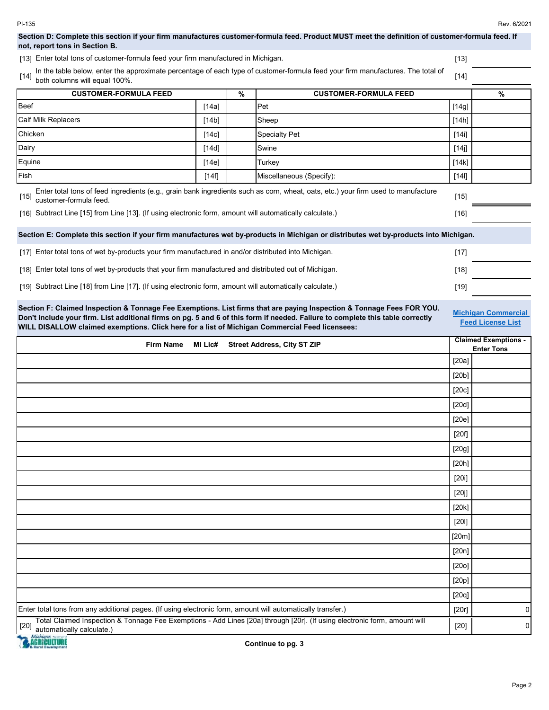# **Section D: Complete this section if your firm manufactures customer-formula feed. Product MUST meet the definition of customer-formula feed. If not, report tons in Section B.**

[13] [13] Enter total tons of customer-formula feed your firm manufactured in Michigan.

| In the table below, enter the approximate percentage of each type of customer-formula feed your firm manufactures. The total of [14] both columns will equal 100%. |        |
|--------------------------------------------------------------------------------------------------------------------------------------------------------------------|--------|
|                                                                                                                                                                    | $[14]$ |

| <b>CUSTOMER-FORMULA FEED</b>                                                                                                                                          |       | % | <b>CUSTOMER-FORMULA FEED</b> |         | $\%$ |
|-----------------------------------------------------------------------------------------------------------------------------------------------------------------------|-------|---|------------------------------|---------|------|
| <b>Beef</b>                                                                                                                                                           | [14a] |   | Pet                          | $[14g]$ |      |
| <b>Calf Milk Replacers</b>                                                                                                                                            | [14b] |   | Sheep                        | [14h]   |      |
| Chicken                                                                                                                                                               | [14c] |   | <b>Specialty Pet</b>         | [14i]   |      |
| Dairy                                                                                                                                                                 | [14d] |   | Swine                        | [14j]   |      |
| Equine                                                                                                                                                                | [14e] |   | Turkey                       | [14k]   |      |
| <b>Fish</b>                                                                                                                                                           | [14f] |   | Miscellaneous (Specify):     | $[14]$  |      |
| Enter total tons of feed ingredients (e.g., grain bank ingredients such as corn, wheat, oats, etc.) your firm used to manufacture<br>$[15]$<br>customer-formula feed. |       |   |                              | $[15]$  |      |

[16] [16] Subtract Line [15] from Line [13]. (If using electronic form, amount will automatically calculate.)

**Section E: Complete this section if your firm manufactures wet by-products in Michigan or distributes wet by-products into Michigan.**

| [17] Enter total tons of wet by-products your firm manufactured in and/or distributed into Michigan.     | [17  |  |
|----------------------------------------------------------------------------------------------------------|------|--|
| [18] Enter total tons of wet by-products that your firm manufactured and distributed out of Michigan.    | [18] |  |
| [19] Subtract Line [18] from Line [17]. (If using electronic form, amount will automatically calculate.) | [19] |  |

**Section F: Claimed Inspection & Tonnage Fee Exemptions. List firms that are paying Inspection & Tonnage Fees FOR YOU. Don't include your firm. List additional firms on pg. 5 and 6 of this form if needed. Failure to complete this table correctly WILL DISALLOW claimed exemptions. Click here for a list of Michigan Commercial Feed licensees:**

**Michigan Commercial Feed License List**

| <b>Street Address, City ST ZIP</b><br><b>Firm Name</b><br>MI Lic#                                                                                                | <b>Claimed Exemptions -</b><br><b>Enter Tons</b> |   |
|------------------------------------------------------------------------------------------------------------------------------------------------------------------|--------------------------------------------------|---|
|                                                                                                                                                                  | [20a]                                            |   |
|                                                                                                                                                                  | [20b]                                            |   |
|                                                                                                                                                                  | [20c]                                            |   |
|                                                                                                                                                                  | [20d]                                            |   |
|                                                                                                                                                                  | [20e]                                            |   |
|                                                                                                                                                                  | [20f]                                            |   |
|                                                                                                                                                                  | [20g]                                            |   |
|                                                                                                                                                                  | [20h]                                            |   |
|                                                                                                                                                                  | [20i]                                            |   |
|                                                                                                                                                                  | [20j]                                            |   |
|                                                                                                                                                                  | [20k]                                            |   |
|                                                                                                                                                                  | [20]                                             |   |
|                                                                                                                                                                  | [20m]                                            |   |
|                                                                                                                                                                  | [20n]                                            |   |
|                                                                                                                                                                  | [200]                                            |   |
|                                                                                                                                                                  | [20p]                                            |   |
|                                                                                                                                                                  | [20q]                                            |   |
| Enter total tons from any additional pages. (If using electronic form, amount will automatically transfer.)                                                      | [20r]                                            | 0 |
| Total Claimed Inspection & Tonnage Fee Exemptions - Add Lines [20a] through [20r]. (It using electronic form, amount will<br>$[20]$<br>automatically calculate.) | $[20]$                                           | 0 |

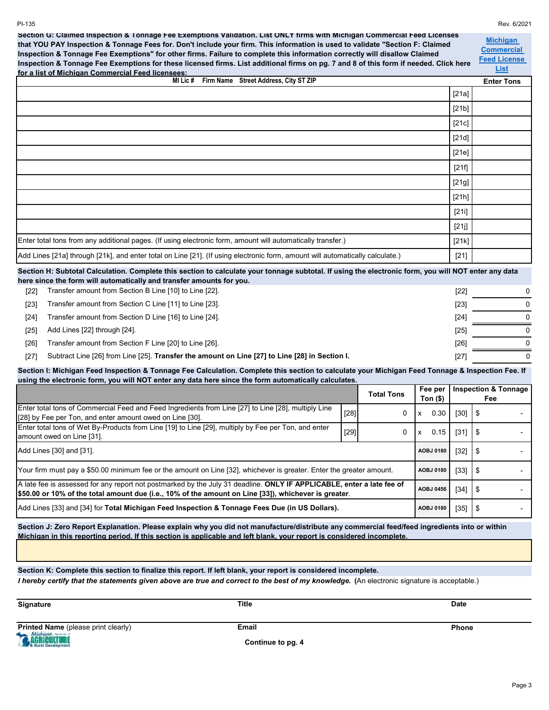PI-135 Rev. 6/2021 **Michigan Commercial Feed License List Enter Tons** [21a] [21b] [21c] [21d] [21e] [21f] [21g] [21h] [21i] [21j] [21k] [21] [22] [22] 0 Transfer amount from Section B Line [10] to Line [22]. [23] [23] 0 Transfer amount from Section C Line [11] to Line [23]. [24] [24] 0 Transfer amount from Section D Line [16] to Line [24]. [25] [25] 0 Add Lines [22] through [24]. [26] [26] 0 Transfer amount from Section F Line [20] to Line [26]. [27] [27] 0 Subtract Line [26] from Line [25]. **Transfer the amount on Line [27] to Line [28] in Section I. Total Tons**  $[28]$  0 x 0.30 [30] \$ - $[29]$  0 x 0.15 [31]  $\frac{1}{9}$  - $\begin{array}{|c|c|c|c|c|c|c|c|c|} \hline 32 & \text{ } \text{ } & \text{ } & \text{-} \ \hline \end{array}$  $\begin{array}{|c|c|c|c|c|c|c|c|c|} \hline \end{array}$  =  $[34]$  \$  $[35]$  \$ **Inspection & Tonnage Fee** A late fee is assessed for any report not postmarked by the July 31 deadline. **ONLY IF APPLICABLE, enter a late fee of \$50.00 or 10% of the total amount due (i.e., 10% of the amount on Line [33]), whichever is greater**. Your firm must pay a \$50.00 minimum fee or the amount on Line [32], whichever is greater. Enter the greater amount. Add Lines [30] and [31]. **Fee per Ton (\$)** Enter total tons of Wet By-Products from Line [19] to Line [29], multiply by Fee per Ton, and enter amount owed on Line [31]. Enter total tons of Commercial Feed and Feed Ingredients from Line [27] to Line [28], multiply Line [28] by Fee per Ton, and enter amount owed on Line [30]. **AOBJ 0180 AOBJ 0456 AOBJ 0180 AOBJ 0180** Add Lines [33] and [34] for **Total Michigan Feed Inspection & Tonnage Fees Due (in US Dollars). Section G: Claimed Inspection & Tonnage Fee Exemptions Validation. List ONLY firms with Michigan Commercial Feed Licenses that YOU PAY Inspection & Tonnage Fees for. Don't include your firm. This information is used to validate "Section F: Claimed Inspection & Tonnage Fee Exemptions" for other firms. Failure to complete this information correctly will disallow Claimed Inspection & Tonnage Fee Exemptions for these licensed firms. List additional firms on pg. 7 and 8 of this form if needed. Click here for a list of Michigan Commercial Feed licensees: Section I: Michigan Feed Inspection & Tonnage Fee Calculation. Complete this section to calculate your Michigan Feed Tonnage & Inspection Fee. If using the electronic form, you will NOT enter any data here since the form automatically calculates.** Enter total tons from any additional pages. (If using electronic form, amount will automatically transfer.) Add Lines [21a] through [21k], and enter total on Line [21]. (If using electronic form, amount will automatically calculate.) Section H: Subtotal Calculation. Complete this section to calculate your tonnage subtotal. If using the electronic form, you will NOT enter any data **here since the form will automatically and transfer amounts for you. Firm Name Street Address, City ST ZIP** 

**Section J: Zero Report Explanation. Please explain why you did not manufacture/distribute any commercial feed/feed ingredients into or within Michigan in this reporting period. If this section is applicable and left blank, your report is considered incomplete.**

**Section K: Complete this section to finalize this report. If left blank, your report is considered incomplete.**

*I hereby certify that the statements given above are true and correct to the best of my knowledge. (An electronic signature is acceptable.)* 

| <b>Signature</b>                           | Title | <b>Date</b>  |
|--------------------------------------------|-------|--------------|
|                                            |       |              |
| <b>Printed Name</b> (please print clearly) | Email | <b>Phone</b> |

**Continue to pg. 4**